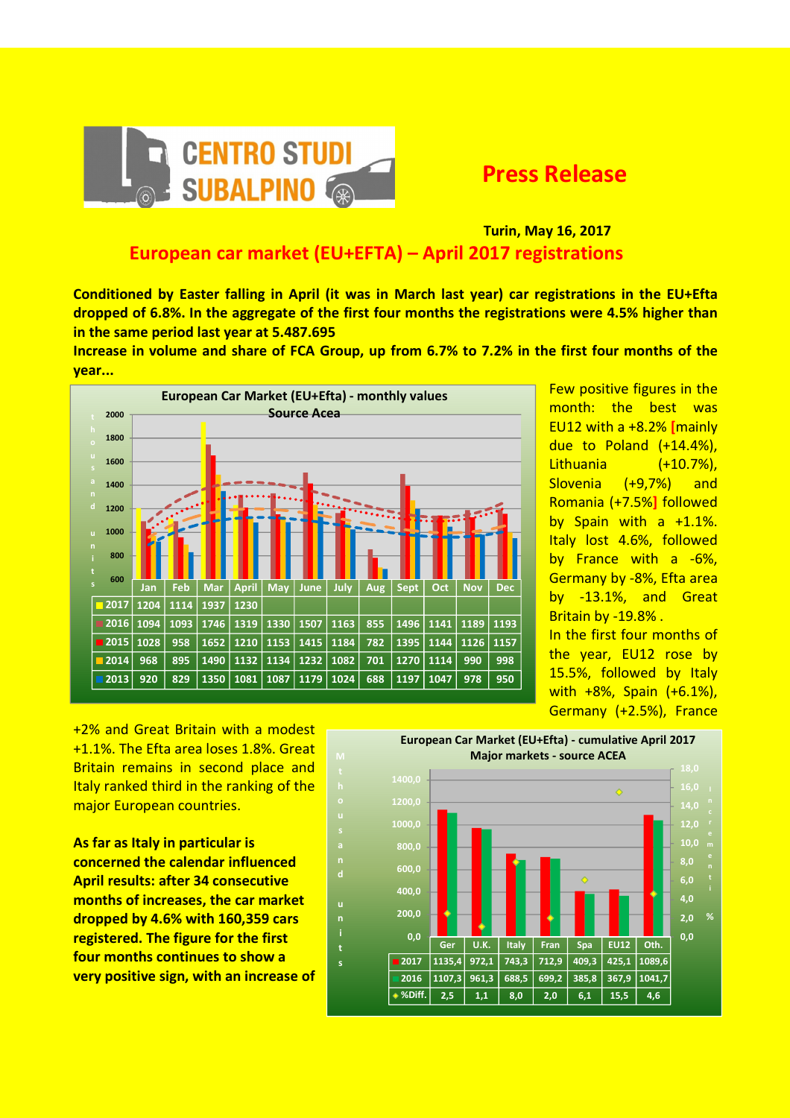

 Turin, May 16, 2017 European car market (EU+EFTA) – April 2017 registrations

Conditioned by Easter falling in April (it was in March last year) car registrations in the EU+Efta dropped of 6.8%. In the aggregate of the first four months the registrations were 4.5% higher than in the same period last year at 5.487.695

Increase in volume and share of FCA Group, up from 6.7% to 7.2% in the first four months of the year...



i t s

Few positive figures in the month: the best was EU12 with a +8.2% [mainly due to Poland (+14.4%), Lithuania (+10.7%), Slovenia (+9,7%) and Romania (+7.5%] followed by Spain with a +1.1%. Italy lost 4.6%, followed by France with a -6%, Germany by -8%, Efta area by -13.1%, and Great Britain by -19.8% . In the first four months of the year, EU12 rose by

15.5%, followed by Italy with +8%, Spain (+6.1%), Germany (+2.5%), France

+2% and Great Britain with a modest +1.1%. The Efta area loses 1.8%. Great Britain remains in second place and Italy ranked third in the ranking of the major European countries.

As far as Italy in particular is concerned the calendar influenced April results: after 34 consecutive months of increases, the car market dropped by 4.6% with 160,359 cars registered. The figure for the first four months continues to show a very positive sign, with an increase of

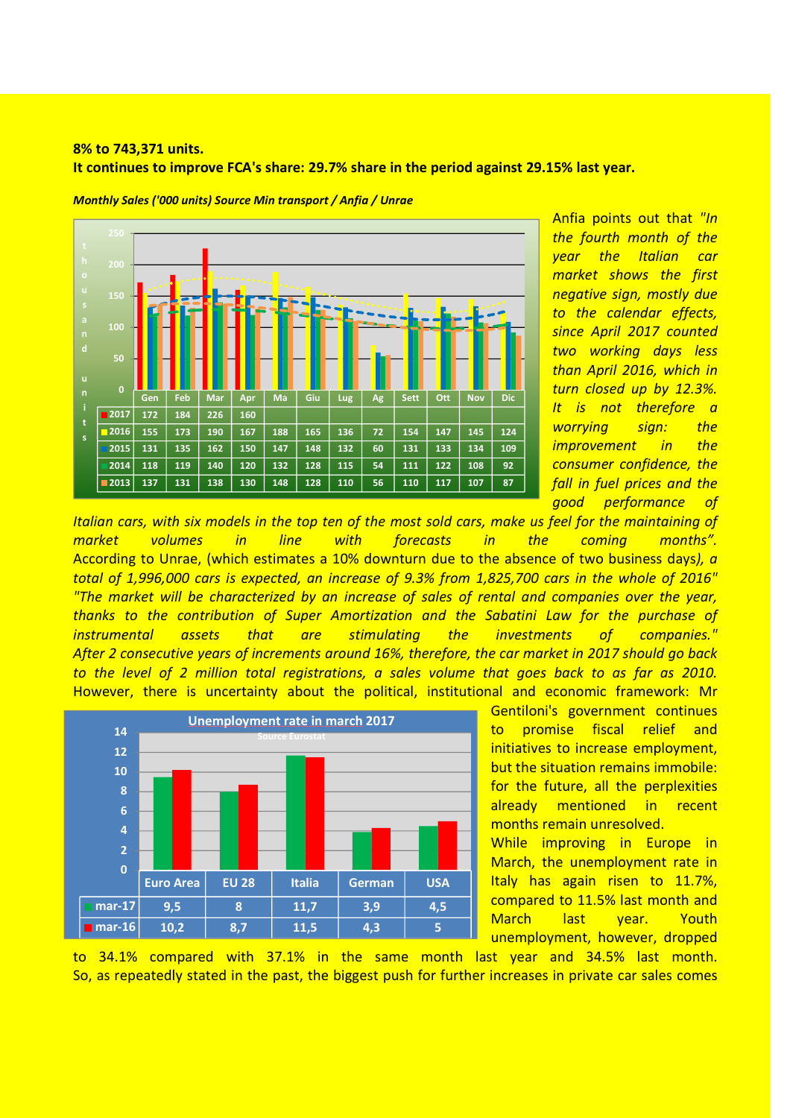## 8% to 743,371 units. It continues to improve FCA's share: 29.7% share in the period against 29.15% last year.



Monthly Sales ('000 units) Source Min transport / Anfia / Unrae

Anfia points out that "In the fourth month of the year the Italian car market shows the first negative sign, mostly due to the calendar effects, since April 2017 counted two working days less than April 2016, which in turn closed up by 12.3%. It is not therefore a worrying sign: the improvement in the consumer confidence, the fall in fuel prices and the good performance of

Italian cars, with six models in the top ten of the most sold cars, make us feel for the maintaining of market volumes in line with forecasts in the coming months". According to Unrae, (which estimates a 10% downturn due to the absence of two business days), a total of 1,996,000 cars is expected, an increase of 9.3% from 1,825,700 cars in the whole of 2016" "The market will be characterized by an increase of sales of rental and companies over the year, thanks to the contribution of Super Amortization and the Sabatini Law for the purchase of instrumental assets that are stimulating the investments of companies." After 2 consecutive years of increments around 16%, therefore, the car market in 2017 should go back to the level of 2 million total registrations, a sales volume that goes back to as far as 2010. However, there is uncertainty about the political, institutional and economic framework: Mr



Gentiloni's government continues to promise fiscal relief and initiatives to increase employment, but the situation remains immobile: for the future, all the perplexities already mentioned in recent months remain unresolved.

While improving in Europe in March, the unemployment rate in Italy has again risen to 11.7%, compared to 11.5% last month and March last year. Youth unemployment, however, dropped

to 34.1% compared with 37.1% in the same month last year and 34.5% last month. So, as repeatedly stated in the past, the biggest push for further increases in private car sales comes